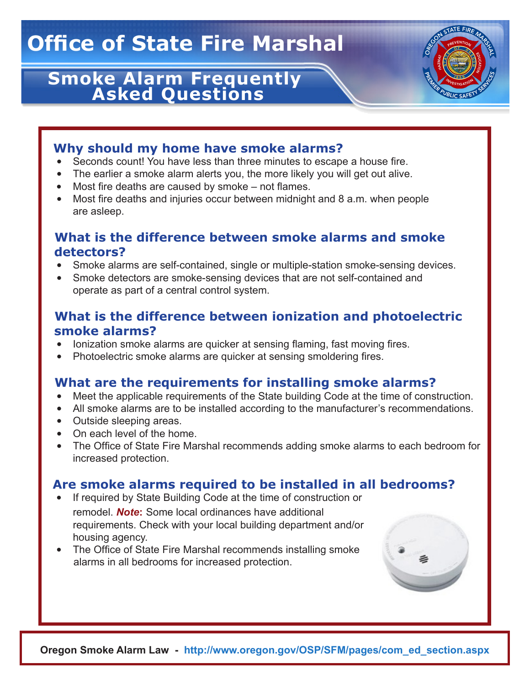# **Office of State Fire Marshal**

# **Smoke Alarm Frequently Asked Questions**



# **Why should my home have smoke alarms?**

- Seconds count! You have less than three minutes to escape a house fire.
- The earlier a smoke alarm alerts you, the more likely you will get out alive.
- Most fire deaths are caused by smoke not flames.
- Most fire deaths and injuries occur between midnight and 8 a.m. when people are asleep.

# **What is the difference between smoke alarms and smoke detectors?**

- Smoke alarms are self-contained, single or multiple-station smoke-sensing devices.
- Smoke detectors are smoke-sensing devices that are not self-contained and operate as part of a central control system.

# **What is the difference between ionization and photoelectric smoke alarms?**

- Ionization smoke alarms are quicker at sensing flaming, fast moving fires.
- Photoelectric smoke alarms are quicker at sensing smoldering fires.

# **What are the requirements for installing smoke alarms?**

- Meet the applicable requirements of the State building Code at the time of construction.
- All smoke alarms are to be installed according to the manufacturer's recommendations.
- Outside sleeping areas.
- On each level of the home.
- The Office of State Fire Marshal recommends adding smoke alarms to each bedroom for increased protection.

# **Are smoke alarms required to be installed in all bedrooms?**

- If required by State Building Code at the time of construction or remodel. *Note***:** Some local ordinances have additional requirements. Check with your local building department and/or housing agency.
- The Office of State Fire Marshal recommends installing smoke alarms in all bedrooms for increased protection.



**Oregon Smoke Alarm Law - http://www.oregon.gov/OSP/SFM/pages/com\_ed\_section.aspx**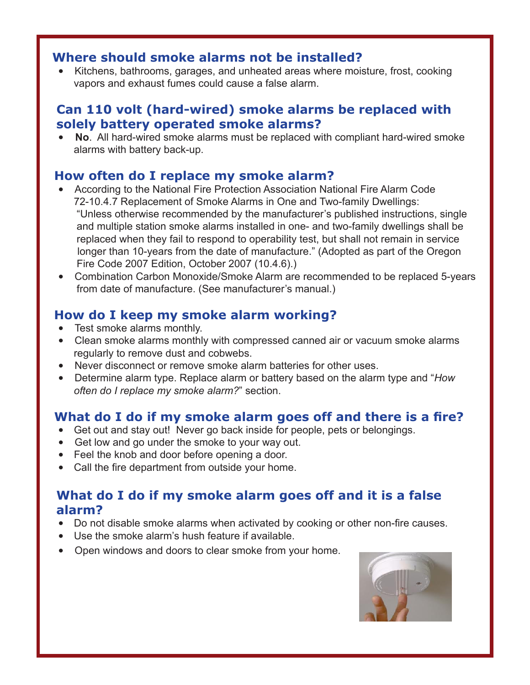#### **Where should smoke alarms not be installed?**

 • Kitchens, bathrooms, garages, and unheated areas where moisture, frost, cooking vapors and exhaust fumes could cause a false alarm.

#### **Can 110 volt (hard-wired) smoke alarms be replaced with solely battery operated smoke alarms?**

 • **No**. All hard-wired smoke alarms must be replaced with compliant hard-wired smoke alarms with battery back-up.

#### **How often do I replace my smoke alarm?**

- According to the National Fire Protection Association National Fire Alarm Code 72-10.4.7 Replacement of Smoke Alarms in One and Two-family Dwellings: "Unless otherwise recommended by the manufacturer's published instructions, single and multiple station smoke alarms installed in one- and two-family dwellings shall be replaced when they fail to respond to operability test, but shall not remain in service longer than 10-years from the date of manufacture." (Adopted as part of the Oregon Fire Code 2007 Edition, October 2007 (10.4.6).)
- Combination Carbon Monoxide/Smoke Alarm are recommended to be replaced 5-years from date of manufacture. (See manufacturer's manual.)

# **How do I keep my smoke alarm working?**

- Test smoke alarms monthly.
- Clean smoke alarms monthly with compressed canned air or vacuum smoke alarms regularly to remove dust and cobwebs.
- Never disconnect or remove smoke alarm batteries for other uses.
- Determine alarm type. Replace alarm or battery based on the alarm type and "*How often do I replace my smoke alarm?*" section.

# **What do I do if my smoke alarm goes off and there is a fire?**

- Get out and stay out! Never go back inside for people, pets or belongings.
- Get low and go under the smoke to your way out.
- Feel the knob and door before opening a door.
- Call the fire department from outside your home.

# **What do I do if my smoke alarm goes off and it is a false alarm?**

- Do not disable smoke alarms when activated by cooking or other non-fire causes.
- Use the smoke alarm's hush feature if available.
- Open windows and doors to clear smoke from your home.

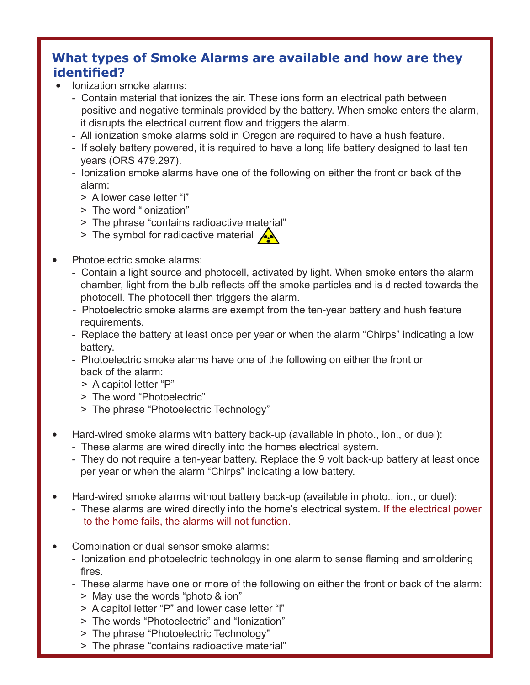# **What types of Smoke Alarms are available and how are they identified?**

• Ionization smoke alarms:

Γ

- Contain material that ionizes the air. These ions form an electrical path between positive and negative terminals provided by the battery. When smoke enters the alarm, it disrupts the electrical current flow and triggers the alarm.
- All ionization smoke alarms sold in Oregon are required to have a hush feature.
- If solely battery powered, it is required to have a long life battery designed to last ten years (ORS 479.297).
- Ionization smoke alarms have one of the following on either the front or back of the alarm:
	- > A lower case letter "i"
	- > The word "ionization"
	- > The phrase "contains radioactive material"
	- > The symbol for radioactive material  $\triangle$
- Photoelectric smoke alarms:
	- Contain a light source and photocell, activated by light. When smoke enters the alarm chamber, light from the bulb reflects off the smoke particles and is directed towards the photocell. The photocell then triggers the alarm.
	- Photoelectric smoke alarms are exempt from the ten-year battery and hush feature requirements.
	- Replace the battery at least once per year or when the alarm "Chirps" indicating a low battery.
	- Photoelectric smoke alarms have one of the following on either the front or back of the alarm:
		- > A capitol letter "P"
		- > The word "Photoelectric"
		- > The phrase "Photoelectric Technology"
- Hard-wired smoke alarms with battery back-up (available in photo., ion., or duel):
	- These alarms are wired directly into the homes electrical system.
	- They do not require a ten-year battery. Replace the 9 volt back-up battery at least once per year or when the alarm "Chirps" indicating a low battery.
- Hard-wired smoke alarms without battery back-up (available in photo., ion., or duel):
	- These alarms are wired directly into the home's electrical system. If the electrical power to the home fails, the alarms will not function.
- Combination or dual sensor smoke alarms:
	- Ionization and photoelectric technology in one alarm to sense flaming and smoldering fires.
	- These alarms have one or more of the following on either the front or back of the alarm:
		- > May use the words "photo & ion"
		- > A capitol letter "P" and lower case letter "i"
		- > The words "Photoelectric" and "Ionization"
		- > The phrase "Photoelectric Technology"
		- > The phrase "contains radioactive material"